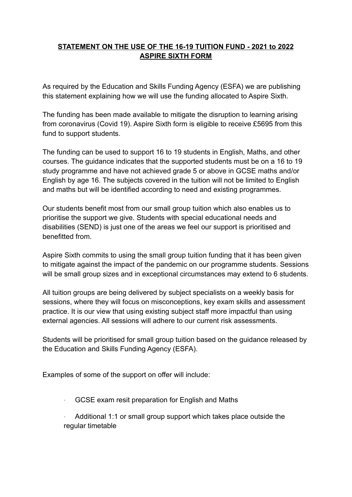## **STATEMENT ON THE USE OF THE 16-19 TUITION FUND - 2021 to 2022 ASPIRE SIXTH FORM**

As required by the Education and Skills Funding Agency (ESFA) we are publishing this statement explaining how we will use the funding allocated to Aspire Sixth.

The funding has been made available to mitigate the disruption to learning arising from coronavirus (Covid 19). Aspire Sixth form is eligible to receive £5695 from this fund to support students.

The funding can be used to support 16 to 19 students in English, Maths, and other courses. The guidance indicates that the supported students must be on a 16 to 19 study programme and have not achieved grade 5 or above in GCSE maths and/or English by age 16. The subjects covered in the tuition will not be limited to English and maths but will be identified according to need and existing programmes.

Our students benefit most from our small group tuition which also enables us to prioritise the support we give. Students with special educational needs and disabilities (SEND) is just one of the areas we feel our support is prioritised and benefitted from.

Aspire Sixth commits to using the small group tuition funding that it has been given to mitigate against the impact of the pandemic on our programme students. Sessions will be small group sizes and in exceptional circumstances may extend to 6 students.

All tuition groups are being delivered by subject specialists on a weekly basis for sessions, where they will focus on misconceptions, key exam skills and assessment practice. It is our view that using existing subject staff more impactful than using external agencies. All sessions will adhere to our current risk assessments.

Students will be prioritised for small group tuition based on the guidance released by the Education and Skills Funding Agency (ESFA).

Examples of some of the support on offer will include:

- GCSE exam resit preparation for English and Maths
- Additional 1:1 or small group support which takes place outside the regular timetable